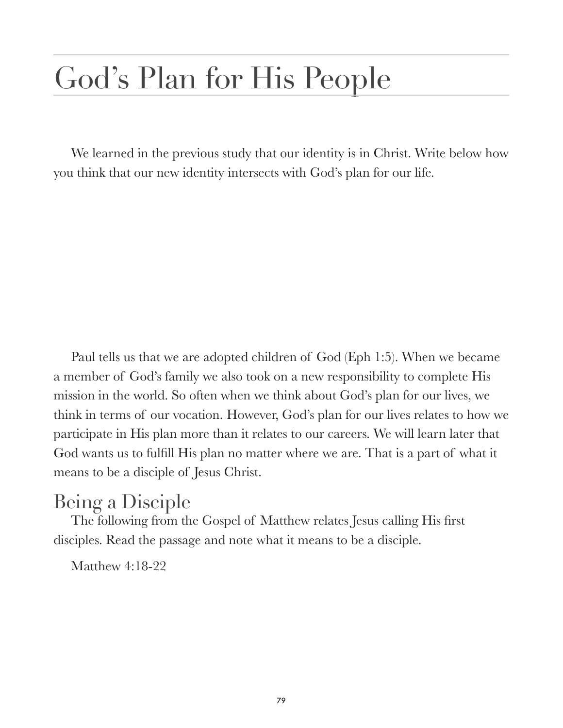# God's Plan for His People

We learned in the previous study that our identity is in Christ. Write below how you think that our new identity intersects with God's plan for our life.

Paul tells us that we are adopted children of God (Eph 1:5). When we became a member of God's family we also took on a new responsibility to complete His mission in the world. So often when we think about God's plan for our lives, we think in terms of our vocation. However, God's plan for our lives relates to how we participate in His plan more than it relates to our careers. We will learn later that God wants us to fulfill His plan no matter where we are. That is a part of what it means to be a disciple of Jesus Christ.

## Being a Disciple

The following from the Gospel of Matthew relates Jesus calling His first disciples. Read the passage and note what it means to be a disciple.

Matthew 4:18-22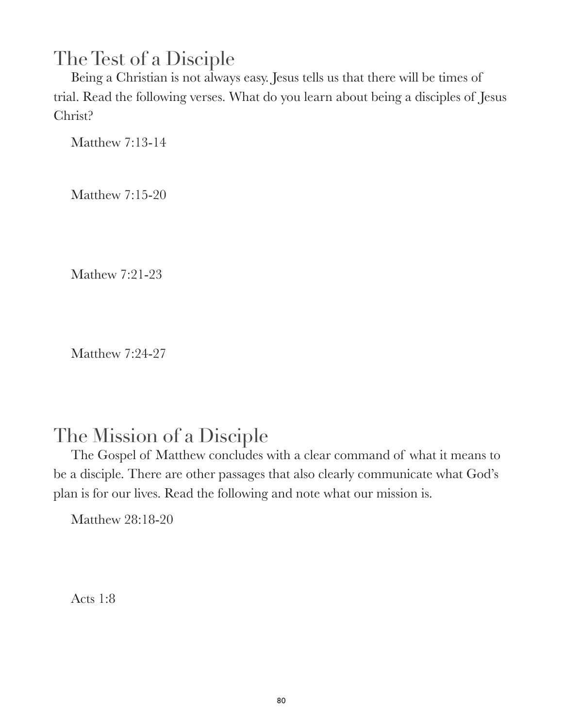### The Test of a Disciple

Being a Christian is not always easy. Jesus tells us that there will be times of trial. Read the following verses. What do you learn about being a disciples of Jesus Christ?

Matthew 7:13-14

Matthew 7:15-20

Mathew 7:21-23

Matthew 7:24-27

#### The Mission of a Disciple

The Gospel of Matthew concludes with a clear command of what it means to be a disciple. There are other passages that also clearly communicate what God's plan is for our lives. Read the following and note what our mission is.

Matthew 28:18-20

Acts 1:8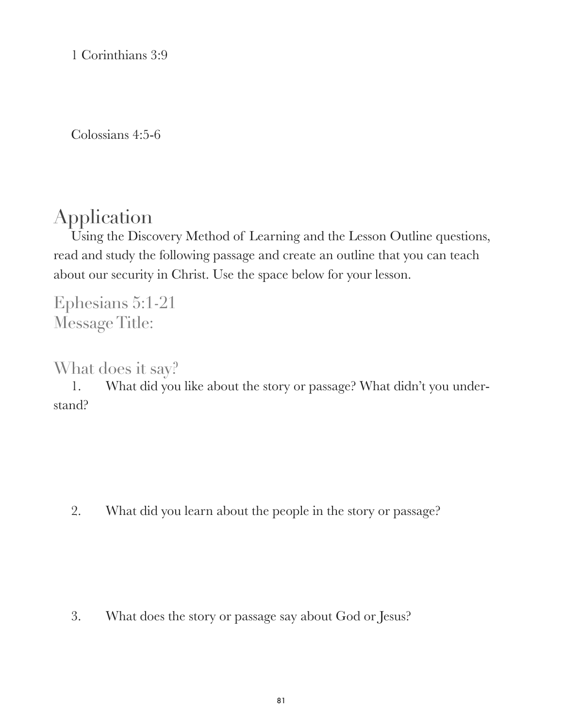1 Corinthians 3:9

Colossians 4:5-6

### Application

Using the Discovery Method of Learning and the Lesson Outline questions, read and study the following passage and create an outline that you can teach about our security in Christ. Use the space below for your lesson.

Ephesians 5:1-21 Message Title:

What does it say?

1. What did you like about the story or passage? What didn't you understand?

2. What did you learn about the people in the story or passage?

3. What does the story or passage say about God or Jesus?